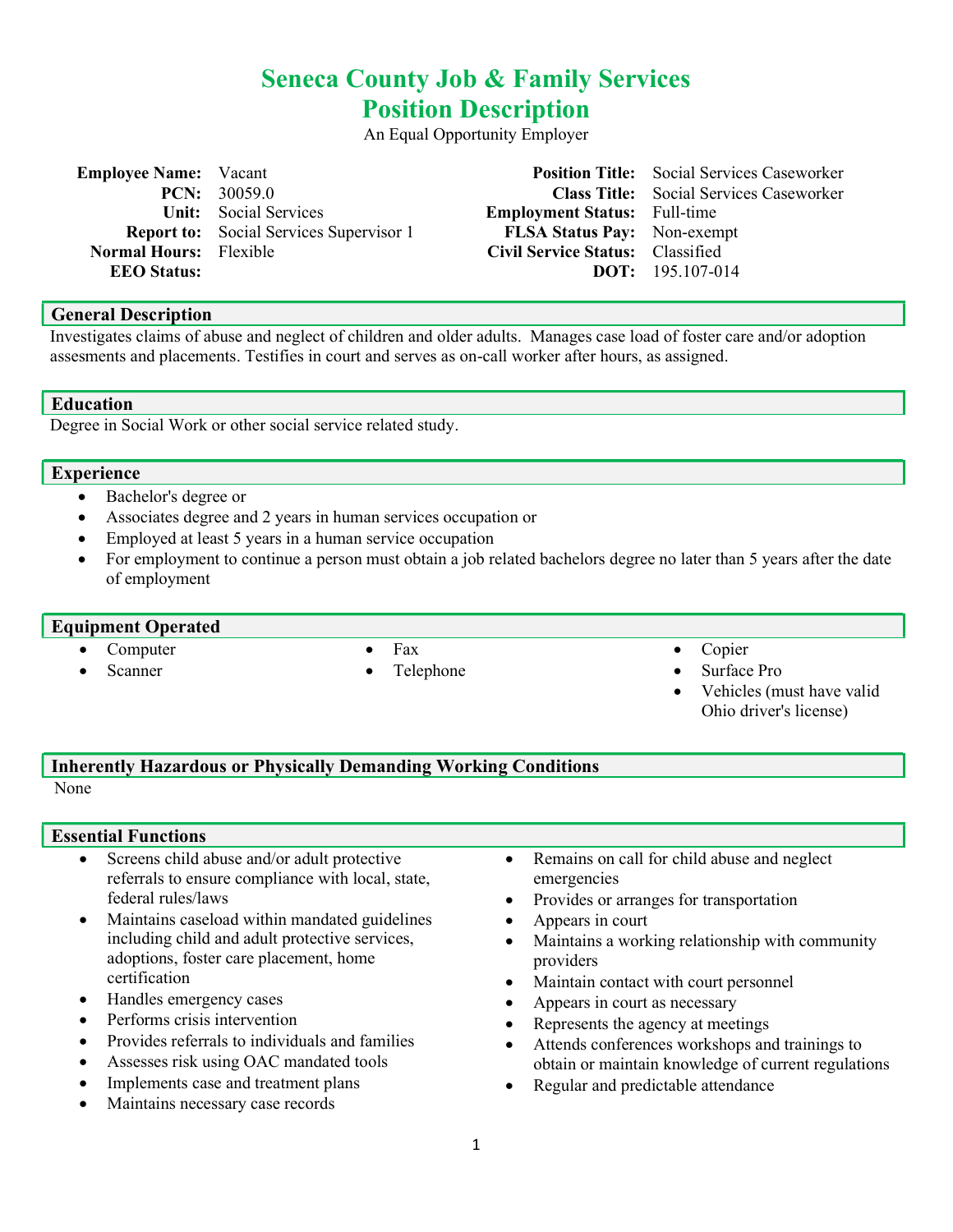# Seneca County Job & Family Services Position Description

An Equal Opportunity Employer

| <b>Employee Name:</b> Vacant  |                                                |                                     | <b>Position Title:</b> Social Services Caseworker |
|-------------------------------|------------------------------------------------|-------------------------------------|---------------------------------------------------|
|                               | <b>PCN:</b> $30059.0$                          |                                     | <b>Class Title:</b> Social Services Caseworker    |
|                               | <b>Unit:</b> Social Services                   | <b>Employment Status:</b> Full-time |                                                   |
|                               | <b>Report to:</b> Social Services Supervisor 1 | <b>FLSA Status Pay:</b> Non-exempt  |                                                   |
| <b>Normal Hours:</b> Flexible |                                                | Civil Service Status: Classified    |                                                   |
| <b>EEO Status:</b>            |                                                |                                     | <b>DOT:</b> $195.107-014$                         |
|                               |                                                |                                     |                                                   |

## General Description

Investigates claims of abuse and neglect of children and older adults. Manages case load of foster care and/or adoption assesments and placements. Testifies in court and serves as on-call worker after hours, as assigned.

Education

Degree in Social Work or other social service related study.

#### Experience

- Bachelor's degree or
- Associates degree and 2 years in human services occupation or
- Employed at least 5 years in a human service occupation
- For employment to continue a person must obtain a job related bachelors degree no later than 5 years after the date of employment

#### Equipment Operated

- Computer
- Scanner
- Fax
- Telephone

#### Copier

- Surface Pro
- Vehicles (must have valid Ohio driver's license)

# Inherently Hazardous or Physically Demanding Working Conditions

None

#### Essential Functions

- Screens child abuse and/or adult protective referrals to ensure compliance with local, state, federal rules/laws
- Maintains caseload within mandated guidelines including child and adult protective services, adoptions, foster care placement, home certification
- Handles emergency cases
- Performs crisis intervention
- Provides referrals to individuals and families
- Assesses risk using OAC mandated tools
- Implements case and treatment plans
- Maintains necessary case records
- Remains on call for child abuse and neglect emergencies
- Provides or arranges for transportation
- Appears in court
- Maintains a working relationship with community providers
- Maintain contact with court personnel
- Appears in court as necessary
- Represents the agency at meetings
- Attends conferences workshops and trainings to obtain or maintain knowledge of current regulations
- Regular and predictable attendance